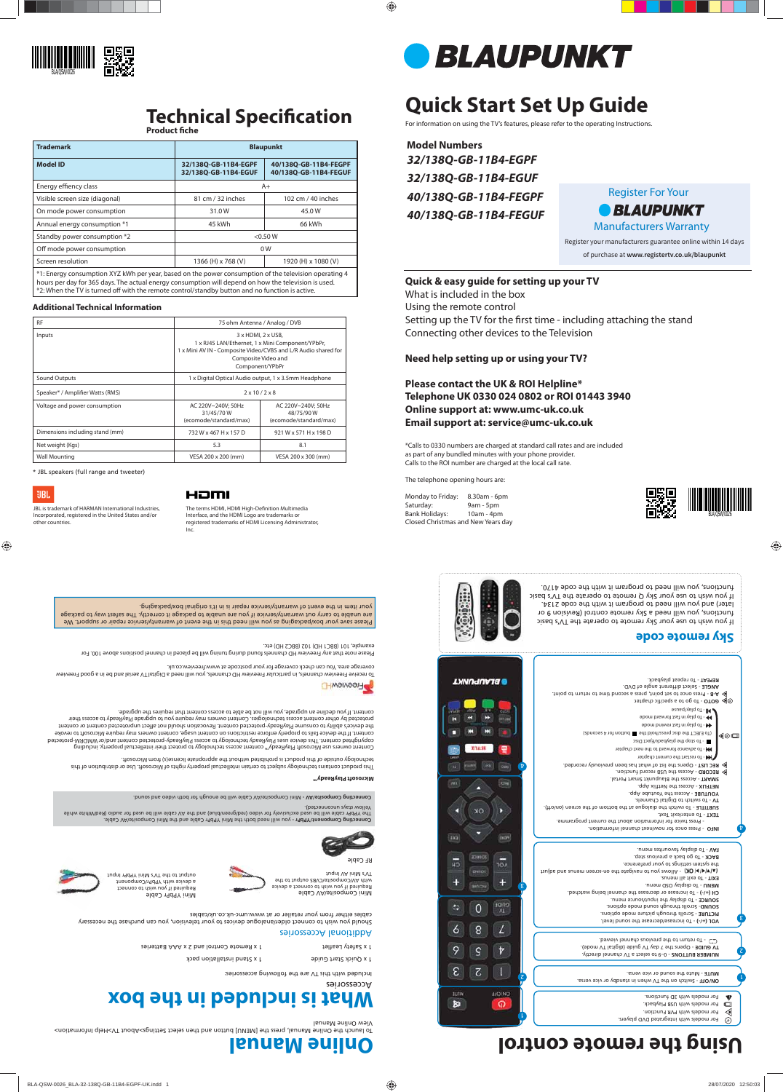# **Quick Start Set Up Guide**

For information on using the TV's features, please refer to the operating Instructions.

**Model Numbers** *32/138Q-GB-11B4-EGPF 32/138Q-GB-11B4-EGUF 40/138Q-GB-11B4-FEGPF 40/138Q-GB-11B4-FEGUF*

Please save your box/packaging as you will need this in the event of warranty/service repair or support. We

are unable to carry out warranty/service if you are unable to package it correctly. The safest way to package your item in the event of warranty/service repair is in it's original box/packaging.

1 x Quick Start Guide

1 x Safety Leaflet

1 x Remote Control and 2 x AAA Batteries

1 x Stand installation pack

#### Additional Accessories

Connecting Component/YPbPr - you will need both the Mini YPbPr Cable and the Mini Composite/AV Cable. The YPbPr cable will be used exclusively for video (red/green/blue) and the AV cable will be used for audio (Red/White while

Should you wish to connect older/analogue devices to your television, you can purchase the necessary cables either from your retailer or at www.umc-uk.co.uk/cables



Mini YPbPr Cable

Required if you wish to connect a device with YPbPr/Component

output to the TV's Mini YPbPr Input

RF Cable

### **Sky remote code**

If you wish to use your Sky remote to operate the TV's basic functions, you will need a Sky remote control (Revision 9 or later) and you will need to program it with the code 2134. If you wish to use your Sky Q remote to operate the TV's basic functions, you will need to program it with the code 4170.

**UBL** JBL is trademark of HARMAN International Industries,

| <b>RF</b>                        |                                                           | 75 ohm Antenna / Analog / DVB                                                                                                                                                      |  |
|----------------------------------|-----------------------------------------------------------|------------------------------------------------------------------------------------------------------------------------------------------------------------------------------------|--|
| Inputs                           |                                                           | 3 x HDMI, 2 x USB,<br>1 x RJ45 LAN/Ethernet, 1 x Mini Component/YPbPr,<br>1 x Mini AV IN - Composite Video/CVBS and L/R Audio shared for<br>Composite Video and<br>Component/YPbPr |  |
| Sound Outputs                    |                                                           | 1 x Digital Optical Audio output, 1 x 3.5mm Headphone                                                                                                                              |  |
| Speaker* / Amplifier Watts (RMS) |                                                           | $2 \times 10 / 2 \times 8$                                                                                                                                                         |  |
| Voltage and power consumption    | AC 220V~240V; 50Hz<br>31/45/70W<br>(ecomode/standard/max) | AC 220V~240V; 50Hz<br>48/75/90W<br>(ecomode/standard/max)                                                                                                                          |  |
| Dimensions including stand (mm)  | 732 W x 467 H x 157 D                                     | 921 W x 571 H x 198 D                                                                                                                                                              |  |
| Net weight (Kgs)                 | 5.3                                                       | 8.1                                                                                                                                                                                |  |
| <b>Wall Mounting</b>             | VESA 200 x 200 (mm)                                       | VESA 200 x 300 (mm)                                                                                                                                                                |  |

Setting up the TV for the first time - including attaching the stand Connecting other devices to the Television

The terms HDMI, HDMI High-Definition Multimedia Interface, and the HDMI Logo are trademarks or registered trademarks of HDMI Licensing Administrator, Inc.



| <b>Trademark</b>                                                                                                                                                                                                                                                                                                 | <b>Blaupunkt</b>                             |                                                |  |
|------------------------------------------------------------------------------------------------------------------------------------------------------------------------------------------------------------------------------------------------------------------------------------------------------------------|----------------------------------------------|------------------------------------------------|--|
| <b>Model ID</b>                                                                                                                                                                                                                                                                                                  | 32/138Q-GB-11B4-EGPF<br>32/1380-GB-11B4-EGUF | 40/138Q-GB-11B4-FEGPF<br>40/1380-GB-11B4-FEGUF |  |
| Energy effiency class                                                                                                                                                                                                                                                                                            | $A+$                                         |                                                |  |
| Visible screen size (diagonal)                                                                                                                                                                                                                                                                                   | 81 cm / 32 inches                            | 102 cm / 40 inches                             |  |
| On mode power consumption                                                                                                                                                                                                                                                                                        | 31.0W                                        | 45.0W                                          |  |
| Annual energy consumption *1                                                                                                                                                                                                                                                                                     | 45 kWh                                       | 66 kWh                                         |  |
| Standby power consumption *2                                                                                                                                                                                                                                                                                     | < 0.50 W                                     |                                                |  |
| Off mode power consumption                                                                                                                                                                                                                                                                                       | 0 <sub>W</sub>                               |                                                |  |
| Screen resolution                                                                                                                                                                                                                                                                                                | 1366 (H) x 768 (V)                           | 1920 (H) x 1080 (V)                            |  |
| *1: Energy consumption XYZ kWh per year, based on the power consumption of the television operating 4<br>hours per day for 365 days. The actual energy consumption will depend on how the television is used.<br>*2: When the TV is turned off with the remote control/standby button and no function is active. |                                              |                                                |  |

 - 0–9 to select a TV channel directly. **NUMBER BUTTONS** - Opens the 7 day TV guide (digital TV mode). **TV GUIDE**  G To return to the previous channel viewed.

#### **Additional Technical Information**

\* JBL speakers (full range and tweeter)

Incorporated, registered in the United States and/or

other countries.

### HƏMI

**Microsoft PlayReady™**

This product contains technology subject to certain intellectual property rights of Microsoft. Use or distribution of this

technology outside of this product is prohibited without the appropriate license(s) from Microsoft.

Content owners use Microsoft PlayReady™ content access technology to protect their intellectual property, including copyrighted content. This device uses PlayReady technology to access PlayReady-protected content and/or WMDRM-protected content. If the device fails to properly enforce restrictions on content usage, content owners may require Microsoft to revoke the device's ability to consume PlayReady-protected content. Aevocation should not affect unprotected content or content protected by other content access technologies. Content owners may require you to upgrade PlayReady to access their

content. If you decline an upgrade, you will not be able to access content that requires the upgrade.

Accessories

Included with this TV are the following accessories:

# **What is included in the box**

### **Quick & easy guide for setting up your TV**

What is included in the box

Using the remote control

### **Need help setting up or using your TV?**

**Please contact the UK & ROI Helpline\* Telephone UK 0330 024 0802 or ROI 01443 3940 Online support at: www.umc-uk.co.uk Email support at: service@umc-uk.co.uk**

\*Calls to 0330 numbers are charged at standard call rates and are included as part of any bundled minutes with your phone provider. Calls to the ROI number are charged at the local call rate.

The telephone opening hours are:

Monday to Friday: 8.30am - 6pm Saturday: 9am - 5pm<br>Bank Holidays: 10am - 4pm Bank Holidays: Closed Christmas and New Years day



of purchase at **www.registertv.co.uk/blaupunkt**



To launch the Online Manual, press the [MENU] button and then select Settings>About TV>Help Information> View Online Manual

To receive Freeview channels, in particular Freeview HD channels, you will need a Digital TV aerial and be in a good Freeview







coverage area. You can check coverage for your postcode at www.freeview.co.uk.



Please note that any Freeview HD channels found during tuning will be placed in channel positions above 100. For example, 101 (BBC1 HD) 102 (BBC2 HD) etc.





# **Technical Specification**

**Product fiche** 

# **Using the remote control**





- Switch on the TV when in standby or vice versa. **ON/OFF**

- Mute the sound or vice versa. **MUTE** 

 - To increase/decrease the sound level. **VOL (+/-)** - Scrolls through picture mode options. **PICTURE** - Scrolls through sound mode options. **SOUND** - To display the input/source menu. **SOURCE** - To increase or decrease the channel being watched. **CH (+/-)**

 - To display OSD menu. **MENU** - To exit all menus. **EXIT** the system settings to your preference.<br>(۱۳۱۰–۱۳۱۴) MC - Allows you to navigate the on-screen menus and adjust BACK - To go back a previous step. - To display favourites menu. **FAV**

 - Press once for now/next channel information. **INFO**  - Press twice for information about the current programme. - To enter/exit Text. **TEXT**

 - To repeat playback. **REPEAT** - Select different angle of DVD. **ANGLE** - Press once to set point, press a second time to return to point. **A-B**  $\circledcirc$  **GOTO** - To go to a specific chapter.  $\mathsf{P}(\mathsf{C}) = \mathsf{P}(\mathsf{C})$  - To play in fast forward mode - To play in fast rewind mode (70 EJECT the disc press/hold the  $\blacksquare$  bit blow the seconds) ◀◎□  $\blacksquare$  - To stop the playback/Eject Disc **Here to a divance forward to the next chapter THE** - To restart the current chapter - Opens the list of what has been previously recorded. **REC LIST**  $^\mathrm{t}$  - Access the USB record function. **RECORD SMART - Access the Blaupunkt Smart Portal.**  ix App. - Access the Netfl **NETFLIX** - Access the Youtube App. **YOUTUBE** - To switch to Digital Channels. **TV**  - To switch the dialogue at the bottom of the screen (on/off). **SUBTITLE**



2

1

 $\Box$  $\triangleleft$ ⊙

For models with integrated DVD players. For models with PVR Function. For models with USB Playback. For models with 3D functions.

8

 $\frac{1}{2}$